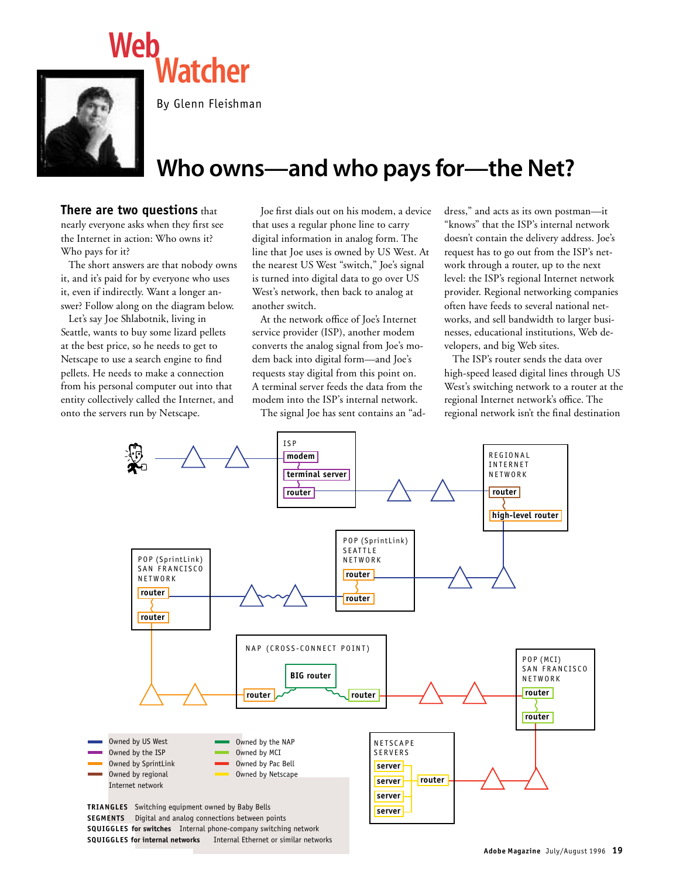

By Glenn Fleishman

**Watcher**

## **Who owns—and who pays for—the Net?**

## **There are two questions** that

nearly everyone asks when they first see the Internet in action: Who owns it? Who pays for it?

The short answers are that nobody owns it, and it's paid for by everyone who uses it, even if indirectly. Want a longer answer? Follow along on the diagram below.

Let's say Joe Shlabotnik, living in Seattle, wants to buy some lizard pellets at the best price, so he needs to get to Netscape to use a search engine to find pellets. He needs to make a connection from his personal computer out into that entity collectively called the Internet, and onto the servers run by Netscape.

Joe first dials out on his modem, a device that uses a regular phone line to carry digital information in analog form. The line that Joe uses is owned by US West. At the nearest US West "switch," Joe's signal is turned into digital data to go over US West's network, then back to analog at another switch.

At the network office of Joe's Internet service provider (ISP), another modem converts the analog signal from Joe's modem back into digital form—and Joe's requests stay digital from this point on. A terminal server feeds the data from the modem into the ISP's internal network.

The signal Joe has sent contains an "ad-

dress," and acts as its own postman—it "knows" that the ISP's internal network doesn't contain the delivery address. Joe's request has to go out from the ISP's network through a router, up to the next level: the ISP's regional Internet network provider. Regional networking companies often have feeds to several national networks, and sell bandwidth to larger businesses, educational institutions, Web developers, and big Web sites.

The ISP's router sends the data over high-speed leased digital lines through US West's switching network to a router at the regional Internet network's office. The regional network isn't the final destination

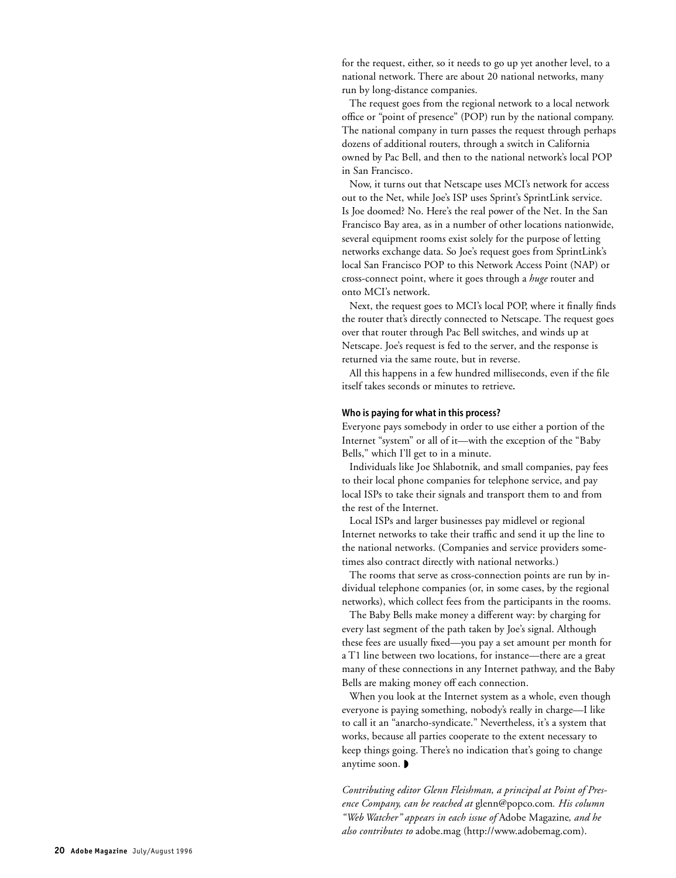for the request, either, so it needs to go up yet another level, to a national network. There are about 20 national networks, many run by long-distance companies.

The request goes from the regional network to a local network office or "point of presence" (POP) run by the national company. The national company in turn passes the request through perhaps dozens of additional routers, through a switch in California owned by Pac Bell, and then to the national network's local POP in San Francisco.

Now, it turns out that Netscape uses MCI's network for access out to the Net, while Joe's ISP uses Sprint's SprintLink service. Is Joe doomed? No. Here's the real power of the Net. In the San Francisco Bay area, as in a number of other locations nationwide, several equipment rooms exist solely for the purpose of letting networks exchange data. So Joe's request goes from SprintLink's local San Francisco POP to this Network Access Point (NAP) or cross-connect point, where it goes through a *huge* router and onto MCI's network.

Next, the request goes to MCI's local POP, where it finally finds the router that's directly connected to Netscape. The request goes over that router through Pac Bell switches, and winds up at Netscape. Joe's request is fed to the server, and the response is returned via the same route, but in reverse.

All this happens in a few hundred milliseconds, even if the file itself takes seconds or minutes to retrieve**.**

## **Who is paying for what in this process?**

Everyone pays somebody in order to use either a portion of the Internet "system" or all of it—with the exception of the "Baby Bells," which I'll get to in a minute.

Individuals like Joe Shlabotnik, and small companies, pay fees to their local phone companies for telephone service, and pay local ISPs to take their signals and transport them to and from the rest of the Internet.

Local ISPs and larger businesses pay midlevel or regional Internet networks to take their traffic and send it up the line to the national networks. (Companies and service providers sometimes also contract directly with national networks.)

The rooms that serve as cross-connection points are run by individual telephone companies (or, in some cases, by the regional networks), which collect fees from the participants in the rooms.

The Baby Bells make money a different way: by charging for every last segment of the path taken by Joe's signal. Although these fees are usually fixed—you pay a set amount per month for a T1 line between two locations, for instance—there are a great many of these connections in any Internet pathway, and the Baby Bells are making money off each connection.

When you look at the Internet system as a whole, even though everyone is paying something, nobody's really in charge—I like to call it an "anarcho-syndicate." Nevertheless, it's a system that works, because all parties cooperate to the extent necessary to keep things going. There's no indication that's going to change anytime soon. ◗

*Contributing editor Glenn Fleishman, a principal at Point of Presence Company, can be reached at* glenn@popco.com*. His column "Web Watcher" appears in each issue of* Adobe Magazine*, and he also contributes to* adobe.mag (http://www.adobemag.com).